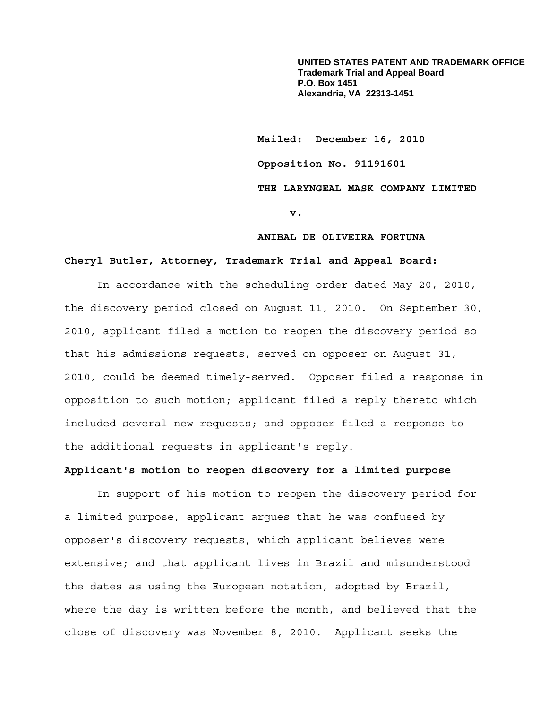**UNITED STATES PATENT AND TRADEMARK OFFICE Trademark Trial and Appeal Board P.O. Box 1451 Alexandria, VA 22313-1451**

 **Mailed: December 16, 2010 Opposition No. 91191601 THE LARYNGEAL MASK COMPANY LIMITED** 

**v.** 

## **ANIBAL DE OLIVEIRA FORTUNA**

# **Cheryl Butler, Attorney, Trademark Trial and Appeal Board:**

 In accordance with the scheduling order dated May 20, 2010, the discovery period closed on August 11, 2010. On September 30, 2010, applicant filed a motion to reopen the discovery period so that his admissions requests, served on opposer on August 31, 2010, could be deemed timely-served. Opposer filed a response in opposition to such motion; applicant filed a reply thereto which included several new requests; and opposer filed a response to the additional requests in applicant's reply.

## **Applicant's motion to reopen discovery for a limited purpose**

 In support of his motion to reopen the discovery period for a limited purpose, applicant argues that he was confused by opposer's discovery requests, which applicant believes were extensive; and that applicant lives in Brazil and misunderstood the dates as using the European notation, adopted by Brazil, where the day is written before the month, and believed that the close of discovery was November 8, 2010. Applicant seeks the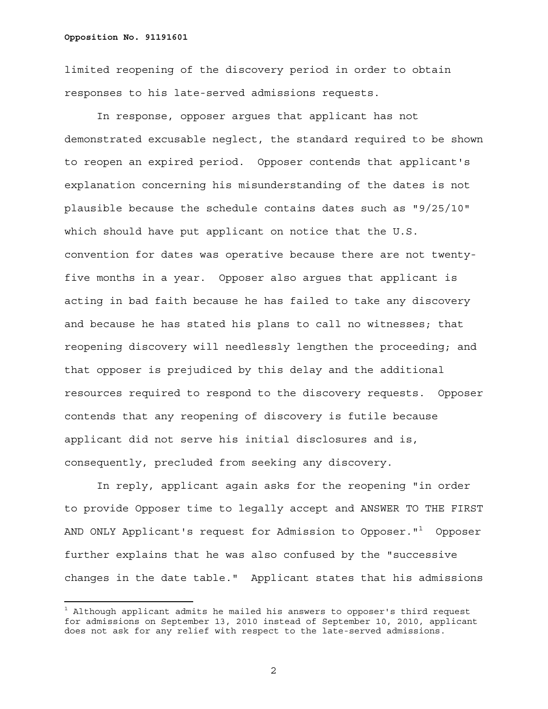È,

limited reopening of the discovery period in order to obtain responses to his late-served admissions requests.

 In response, opposer argues that applicant has not demonstrated excusable neglect, the standard required to be shown to reopen an expired period. Opposer contends that applicant's explanation concerning his misunderstanding of the dates is not plausible because the schedule contains dates such as "9/25/10" which should have put applicant on notice that the U.S. convention for dates was operative because there are not twentyfive months in a year. Opposer also argues that applicant is acting in bad faith because he has failed to take any discovery and because he has stated his plans to call no witnesses; that reopening discovery will needlessly lengthen the proceeding; and that opposer is prejudiced by this delay and the additional resources required to respond to the discovery requests. Opposer contends that any reopening of discovery is futile because applicant did not serve his initial disclosures and is, consequently, precluded from seeking any discovery.

 In reply, applicant again asks for the reopening "in order to provide Opposer time to legally accept and ANSWER TO THE FIRST AND ONLY Applicant's request for Admission to Opposer." $^{\rm 1}$  Opposer further explains that he was also confused by the "successive changes in the date table." Applicant states that his admissions

 $^{\rm 1}$  Although applicant admits he mailed his answers to opposer's third request for admissions on September 13, 2010 instead of September 10, 2010, applicant does not ask for any relief with respect to the late-served admissions.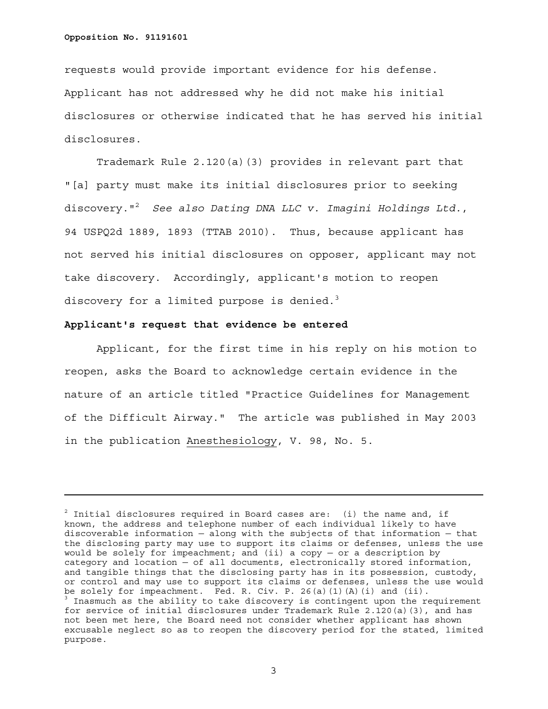a<br>B

requests would provide important evidence for his defense. Applicant has not addressed why he did not make his initial disclosures or otherwise indicated that he has served his initial disclosures.

 Trademark Rule 2.120(a)(3) provides in relevant part that "[a] party must make its initial disclosures prior to seeking discovery."2 *See also Dating DNA LLC v. Imagini Holdings Ltd.*, 94 USPQ2d 1889, 1893 (TTAB 2010). Thus, because applicant has not served his initial disclosures on opposer, applicant may not take discovery. Accordingly, applicant's motion to reopen discovery for a limited purpose is denied.<sup>3</sup>

# **Applicant's request that evidence be entered**

 Applicant, for the first time in his reply on his motion to reopen, asks the Board to acknowledge certain evidence in the nature of an article titled "Practice Guidelines for Management of the Difficult Airway." The article was published in May 2003 in the publication Anesthesiology, V. 98, No. 5.

 $^{\text{2}}$  Initial disclosures required in Board cases are: (i) the name and, if known, the address and telephone number of each individual likely to have discoverable information — along with the subjects of that information — that the disclosing party may use to support its claims or defenses, unless the use would be solely for impeachment; and (ii) a copy  $-$  or a description by category and location — of all documents, electronically stored information, and tangible things that the disclosing party has in its possession, custody, or control and may use to support its claims or defenses, unless the use would be solely for impeachment. Fed. R. Civ. P. 26(a)(1)(A)(i) and (ii). <sup>3</sup> Inasmuch as the ability to take discovery is contingent upon the requirement for service of initial disclosures under Trademark Rule 2.120(a)(3), and has not been met here, the Board need not consider whether applicant has shown excusable neglect so as to reopen the discovery period for the stated, limited purpose.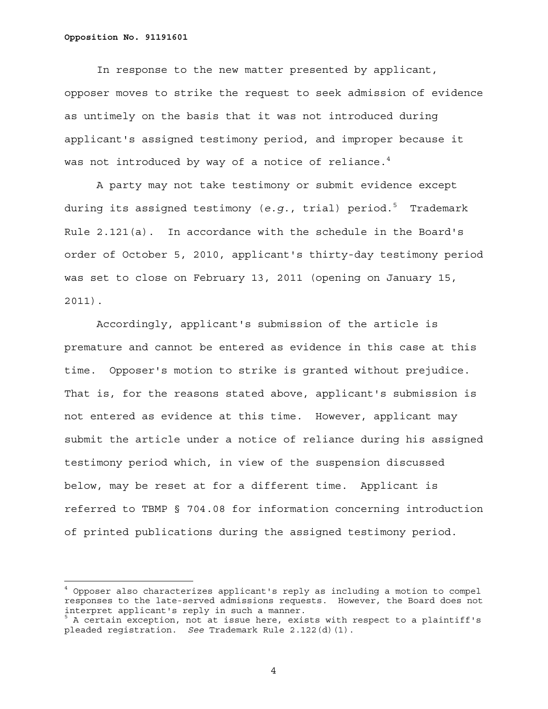a<br>B

 In response to the new matter presented by applicant, opposer moves to strike the request to seek admission of evidence as untimely on the basis that it was not introduced during applicant's assigned testimony period, and improper because it was not introduced by way of a notice of reliance. $4$ 

 A party may not take testimony or submit evidence except during its assigned testimony (*e.g.*, trial) period.<sup>5</sup> Trademark Rule 2.121(a). In accordance with the schedule in the Board's order of October 5, 2010, applicant's thirty-day testimony period was set to close on February 13, 2011 (opening on January 15, 2011).

 Accordingly, applicant's submission of the article is premature and cannot be entered as evidence in this case at this time. Opposer's motion to strike is granted without prejudice. That is, for the reasons stated above, applicant's submission is not entered as evidence at this time. However, applicant may submit the article under a notice of reliance during his assigned testimony period which, in view of the suspension discussed below, may be reset at for a different time. Applicant is referred to TBMP § 704.08 for information concerning introduction of printed publications during the assigned testimony period.

<sup>4</sup> Opposer also characterizes applicant's reply as including a motion to compel responses to the late-served admissions requests. However, the Board does not interpret applicant's reply in such a manner.<br>
<sup>5</sup> A cortain queention, not at issue have evist

A certain exception, not at issue here, exists with respect to a plaintiff's pleaded registration. *See* Trademark Rule 2.122(d)(1).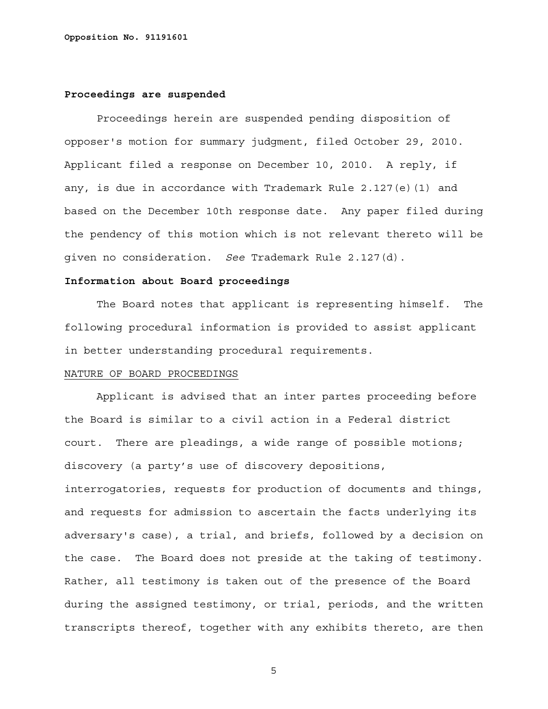## **Proceedings are suspended**

 Proceedings herein are suspended pending disposition of opposer's motion for summary judgment, filed October 29, 2010. Applicant filed a response on December 10, 2010. A reply, if any, is due in accordance with Trademark Rule 2.127(e)(1) and based on the December 10th response date. Any paper filed during the pendency of this motion which is not relevant thereto will be given no consideration. *See* Trademark Rule 2.127(d).

# **Information about Board proceedings**

 The Board notes that applicant is representing himself. The following procedural information is provided to assist applicant in better understanding procedural requirements.

### NATURE OF BOARD PROCEEDINGS

 Applicant is advised that an inter partes proceeding before the Board is similar to a civil action in a Federal district court. There are pleadings, a wide range of possible motions; discovery (a party's use of discovery depositions, interrogatories, requests for production of documents and things, and requests for admission to ascertain the facts underlying its adversary's case), a trial, and briefs, followed by a decision on the case. The Board does not preside at the taking of testimony. Rather, all testimony is taken out of the presence of the Board during the assigned testimony, or trial, periods, and the written transcripts thereof, together with any exhibits thereto, are then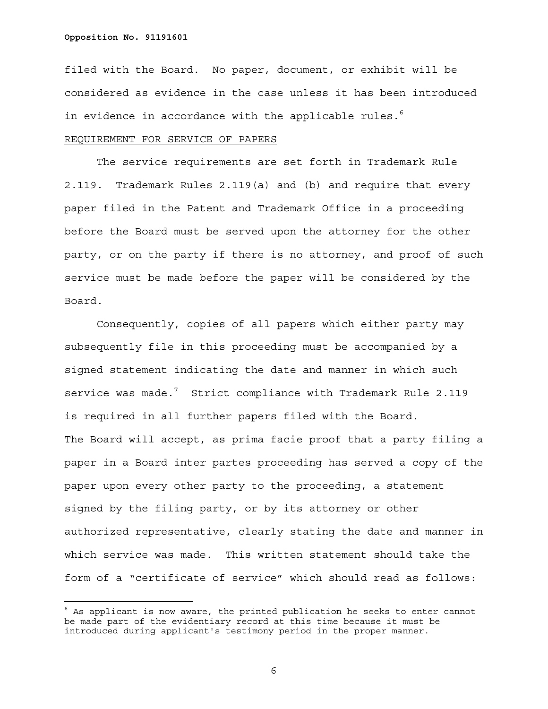È,

filed with the Board. No paper, document, or exhibit will be considered as evidence in the case unless it has been introduced in evidence in accordance with the applicable rules. $^6$ 

## REQUIREMENT FOR SERVICE OF PAPERS

 The service requirements are set forth in Trademark Rule 2.119. Trademark Rules 2.119(a) and (b) and require that every paper filed in the Patent and Trademark Office in a proceeding before the Board must be served upon the attorney for the other party, or on the party if there is no attorney, and proof of such service must be made before the paper will be considered by the Board.

 Consequently, copies of all papers which either party may subsequently file in this proceeding must be accompanied by a signed statement indicating the date and manner in which such service was made. $^7$  Strict compliance with Trademark Rule 2.119 is required in all further papers filed with the Board. The Board will accept, as prima facie proof that a party filing a paper in a Board inter partes proceeding has served a copy of the paper upon every other party to the proceeding, a statement signed by the filing party, or by its attorney or other authorized representative, clearly stating the date and manner in which service was made. This written statement should take the form of a "certificate of service" which should read as follows:

 $^6$  As applicant is now aware, the printed publication he seeks to enter cannot be made part of the evidentiary record at this time because it must be introduced during applicant's testimony period in the proper manner.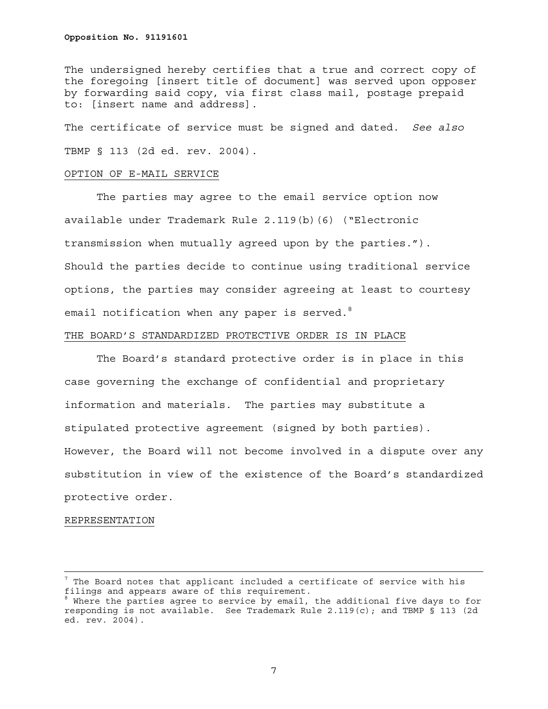The undersigned hereby certifies that a true and correct copy of the foregoing [insert title of document] was served upon opposer by forwarding said copy, via first class mail, postage prepaid to: [insert name and address].

The certificate of service must be signed and dated. *See also* TBMP § 113 (2d ed. rev. 2004).

#### OPTION OF E-MAIL SERVICE

 The parties may agree to the email service option now available under Trademark Rule 2.119(b)(6) ("Electronic transmission when mutually agreed upon by the parties."). Should the parties decide to continue using traditional service options, the parties may consider agreeing at least to courtesy email notification when any paper is served. $8$ 

## THE BOARD'S STANDARDIZED PROTECTIVE ORDER IS IN PLACE

 The Board's standard protective order is in place in this case governing the exchange of confidential and proprietary information and materials. The parties may substitute a stipulated protective agreement (signed by both parties). However, the Board will not become involved in a dispute over any substitution in view of the existence of the Board's standardized protective order.

#### REPRESENTATION

 $^7$  The Board notes that applicant included a certificate of service with his filings and appears aware of this requirement.

<sup>&</sup>lt;sup>8</sup> Where the parties agree to service by email, the additional five days to for responding is not available. See Trademark Rule 2.119(c); and TBMP § 113 (2d ed. rev. 2004).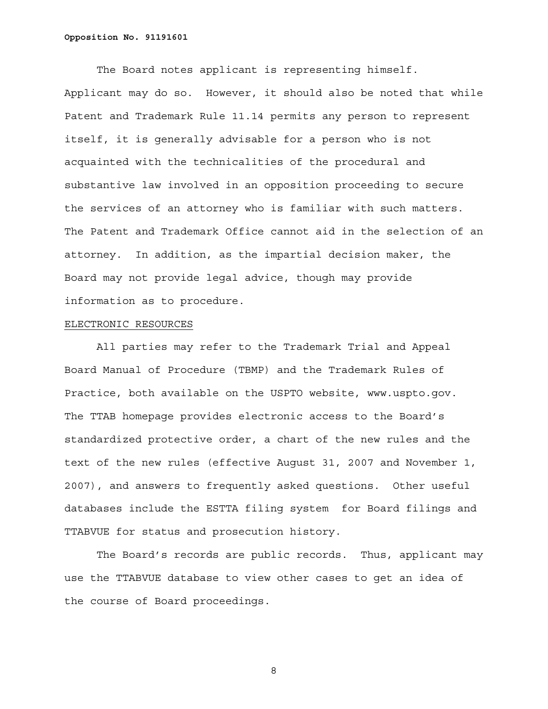The Board notes applicant is representing himself. Applicant may do so. However, it should also be noted that while Patent and Trademark Rule 11.14 permits any person to represent itself, it is generally advisable for a person who is not acquainted with the technicalities of the procedural and substantive law involved in an opposition proceeding to secure the services of an attorney who is familiar with such matters. The Patent and Trademark Office cannot aid in the selection of an attorney. In addition, as the impartial decision maker, the Board may not provide legal advice, though may provide information as to procedure.

### ELECTRONIC RESOURCES

 All parties may refer to the Trademark Trial and Appeal Board Manual of Procedure (TBMP) and the Trademark Rules of Practice, both available on the USPTO website, www.uspto.gov. The TTAB homepage provides electronic access to the Board's standardized protective order, a chart of the new rules and the text of the new rules (effective August 31, 2007 and November 1, 2007), and answers to frequently asked questions. Other useful databases include the ESTTA filing system for Board filings and TTABVUE for status and prosecution history.

 The Board's records are public records. Thus, applicant may use the TTABVUE database to view other cases to get an idea of the course of Board proceedings.